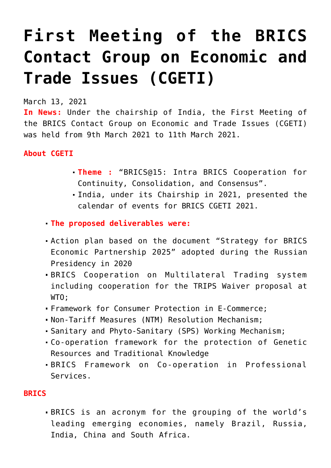## **[First Meeting of the BRICS](https://journalsofindia.com/first-meeting-of-the-brics-contact-group-on-economic-and-trade-issues-cgeti/) [Contact Group on Economic and](https://journalsofindia.com/first-meeting-of-the-brics-contact-group-on-economic-and-trade-issues-cgeti/) [Trade Issues \(CGETI\)](https://journalsofindia.com/first-meeting-of-the-brics-contact-group-on-economic-and-trade-issues-cgeti/)**

March 13, 2021

**In News:** Under the chairship of India, the First Meeting of the BRICS Contact Group on Economic and Trade Issues (CGETI) was held from 9th March 2021 to 11th March 2021.

## **About CGETI**

- **Theme :** "BRICS@15: Intra BRICS Cooperation for Continuity, Consolidation, and Consensus".
- India, under its Chairship in 2021, presented the calendar of events for BRICS CGETI 2021.
- **The proposed deliverables were:**
- Action plan based on the document "Strategy for BRICS Economic Partnership 2025" adopted during the Russian Presidency in 2020
- BRICS Cooperation on Multilateral Trading system including cooperation for the TRIPS Waiver proposal at WTO;
- Framework for Consumer Protection in E-Commerce;
- Non-Tariff Measures (NTM) Resolution Mechanism;
- Sanitary and Phyto-Sanitary (SPS) Working Mechanism;
- Co-operation framework for the protection of Genetic Resources and Traditional Knowledge
- BRICS Framework on Co-operation in Professional Services.

## **BRICS**

BRICS is an acronym for the grouping of the world's leading emerging economies, namely Brazil, Russia, India, China and South Africa.